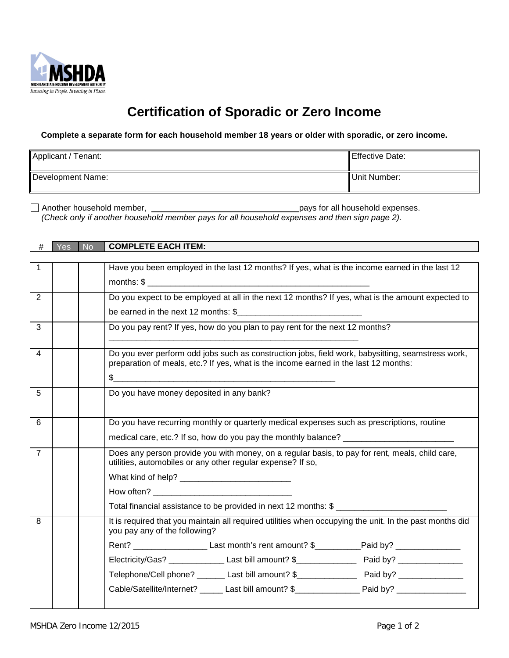

## **Certification of Sporadic or Zero Income**

**Complete a separate form for each household member 18 years or older with sporadic, or zero income.**

| Applicant / Tenant: | Effective Date: |
|---------------------|-----------------|
| Development Name:   | Unit Number:    |

Another household member, **pays for all household expenses.** 

*(Check only if another household member pays for all household expenses and then sign page 2).*

## # Yes No **COMPLETE EACH ITEM:**

| 1              | Have you been employed in the last 12 months? If yes, what is the income earned in the last 12                                                                                            |
|----------------|-------------------------------------------------------------------------------------------------------------------------------------------------------------------------------------------|
|                |                                                                                                                                                                                           |
| $\overline{2}$ | Do you expect to be employed at all in the next 12 months? If yes, what is the amount expected to                                                                                         |
|                |                                                                                                                                                                                           |
| 3              | Do you pay rent? If yes, how do you plan to pay rent for the next 12 months?                                                                                                              |
| 4              | Do you ever perform odd jobs such as construction jobs, field work, babysitting, seamstress work,<br>preparation of meals, etc.? If yes, what is the income earned in the last 12 months: |
|                |                                                                                                                                                                                           |
| 5              | Do you have money deposited in any bank?                                                                                                                                                  |
| 6              | Do you have recurring monthly or quarterly medical expenses such as prescriptions, routine                                                                                                |
|                | medical care, etc.? If so, how do you pay the monthly balance? __________________                                                                                                         |
| $\overline{7}$ | Does any person provide you with money, on a regular basis, to pay for rent, meals, child care,<br>utilities, automobiles or any other regular expense? If so,                            |
|                |                                                                                                                                                                                           |
|                |                                                                                                                                                                                           |
|                | Total financial assistance to be provided in next 12 months: \$                                                                                                                           |
| 8              | It is required that you maintain all required utilities when occupying the unit. In the past months did<br>you pay any of the following?                                                  |
|                | Rent? _______________________Last month's rent amount? \$____________Paid by? ______________________                                                                                      |
|                |                                                                                                                                                                                           |
|                |                                                                                                                                                                                           |
|                |                                                                                                                                                                                           |
|                |                                                                                                                                                                                           |